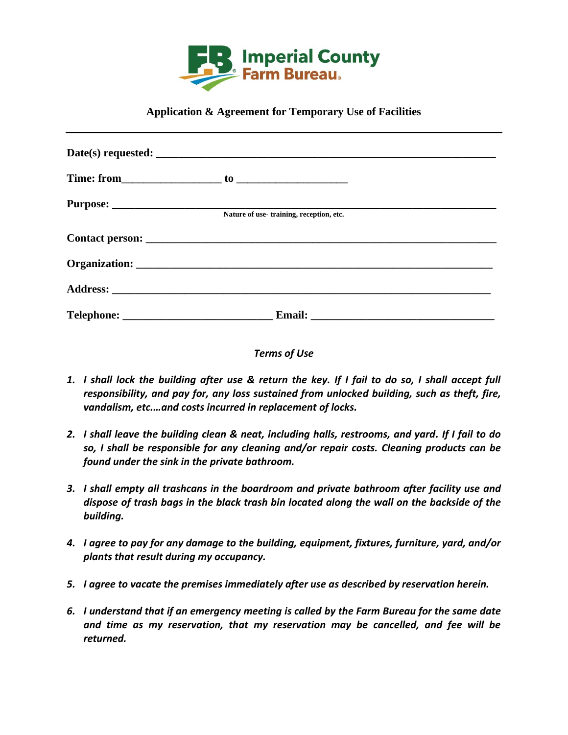

## **Application & Agreement for Temporary Use of Facilities**

| Nature of use-training, reception, etc. |  |
|-----------------------------------------|--|
|                                         |  |
|                                         |  |
|                                         |  |
|                                         |  |

## *Terms of Use*

- *1. I shall lock the building after use & return the key. If I fail to do so, I shall accept full responsibility, and pay for, any loss sustained from unlocked building, such as theft, fire, vandalism, etc.…and costs incurred in replacement of locks.*
- *2. I shall leave the building clean & neat, including halls, restrooms, and yard. If I fail to do so, I shall be responsible for any cleaning and/or repair costs. Cleaning products can be found under the sink in the private bathroom.*
- *3. I shall empty all trashcans in the boardroom and private bathroom after facility use and dispose of trash bags in the black trash bin located along the wall on the backside of the building.*
- *4. I agree to pay for any damage to the building, equipment, fixtures, furniture, yard, and/or plants that result during my occupancy.*
- *5. I agree to vacate the premises immediately after use as described by reservation herein.*
- *6. I understand that if an emergency meeting is called by the Farm Bureau for the same date and time as my reservation, that my reservation may be cancelled, and fee will be returned.*